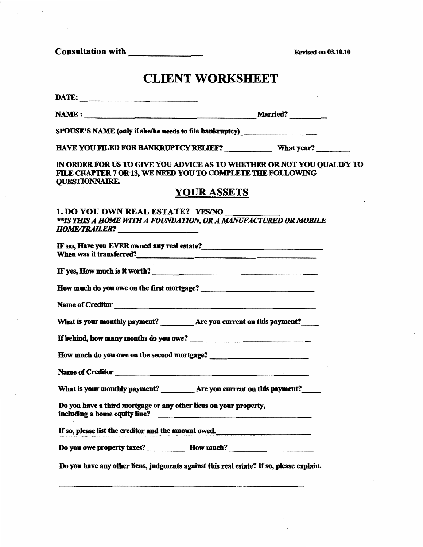Consultation with  $\qquad \qquad$  Revised on 03.10.10

## CLIENT WORKSHEET

| HAVE YOU FILED FOR BANKRUPTCY RELIEF? _______________What year? _________________                                                                              |                    |  |
|----------------------------------------------------------------------------------------------------------------------------------------------------------------|--------------------|--|
| IN ORDER FOR US TO GIVE YOU ADVICE AS TO WHETHER OR NOT YOU QUALIFY TO<br>FILE CHAPTER 7 OR 13, WE NEED YOU TO COMPLETE THE FOLLOWING<br><b>QUESTIONNAIRE.</b> |                    |  |
|                                                                                                                                                                | <b>YOUR ASSETS</b> |  |
| 1. DO YOU OWN REAL ESTATE? YES/NO<br>** IS THIS A HOME WITH A FOUNDATION, OR A MANUFACTURED OR MOBILE<br>HOME/TRAILER?                                         |                    |  |
| IF no. Have you EVER owned any real estate?<br><u>IF no.</u> Have you EVER owned any real estate?                                                              |                    |  |
| IF yes, How much is it worth?                                                                                                                                  |                    |  |
| How much do you owe on the first mortgage?                                                                                                                     |                    |  |
| Name of Creditor                                                                                                                                               |                    |  |
| What is your monthly payment? __________ Are you current on this payment?                                                                                      |                    |  |
|                                                                                                                                                                |                    |  |
| How much do you owe on the second mortgage?                                                                                                                    |                    |  |
| Name of Creditor                                                                                                                                               |                    |  |
| What is your monthly payment? ___________ Are you current on this payment?                                                                                     |                    |  |
| Do you have a third mortgage or any other liens on your property,                                                                                              |                    |  |
| If so, please list the creditor and the amount owed.                                                                                                           |                    |  |
|                                                                                                                                                                |                    |  |
| Do you have any other liens, judgments against this real estate? If so, please explain.                                                                        |                    |  |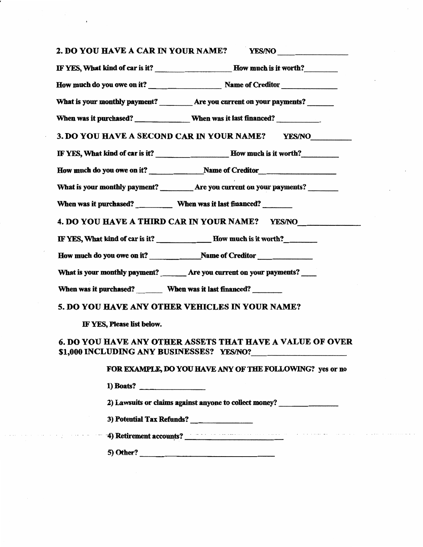|                                                                         | IF YES, What kind of car is it? _____________________________How much is it worth?                     |
|-------------------------------------------------------------------------|--------------------------------------------------------------------------------------------------------|
|                                                                         |                                                                                                        |
|                                                                         | What is your monthly payment? __________ Are you current on your payments? _______                     |
|                                                                         | When was it purchased? ________________When was it last financed? _______________                      |
|                                                                         | 3. DO YOU HAVE A SECOND CAR IN YOUR NAME? YES/NO                                                       |
|                                                                         |                                                                                                        |
|                                                                         |                                                                                                        |
|                                                                         | What is your monthly payment? ___________ Are you current on your payments? ________                   |
| When was it purchased? ____________ When was it last financed? ________ |                                                                                                        |
|                                                                         | 4. DO YOU HAVE A THIRD CAR IN YOUR NAME? YES/NO                                                        |
|                                                                         |                                                                                                        |
|                                                                         | How much do you owe on it?<br>Name of Creditor Manuelline and Creditor Manuelline and Transmission     |
|                                                                         | What is your monthly payment? _______ Are you current on your payments? ____                           |
| When was it purchased? When was it last financed?                       |                                                                                                        |
|                                                                         | 5. DO YOU HAVE ANY OTHER VEHICLES IN YOUR NAME?                                                        |
| IF YES, Please list below.                                              |                                                                                                        |
|                                                                         | 6. DO YOU HAVE ANY OTHER ASSETS THAT HAVE A VALUE OF OVER<br>\$1,000 INCLUDING ANY BUSINESSES? YES/NO? |
|                                                                         | FOR EXAMPLE, DO YOU HAVE ANY OF THE FOLLOWING? yes or no                                               |
| 1) Boats?                                                               |                                                                                                        |
|                                                                         | 2) Lawsuits or claims against anyone to collect money?                                                 |
|                                                                         | 3) Potential Tax Refunds?                                                                              |
|                                                                         | 4) Retirement accounts?                                                                                |
|                                                                         | 5) Other?                                                                                              |

 $\bar{z}$ 

 $\hat{\boldsymbol{\beta}}$ 

 $\hat{\boldsymbol{\theta}}$ 

 $\mathcal{L}^{\pm}$ 

where  $\hat{\mathcal{L}}$  is a set of  $\hat{\mathcal{L}}$  , and  $\hat{\mathcal{L}}$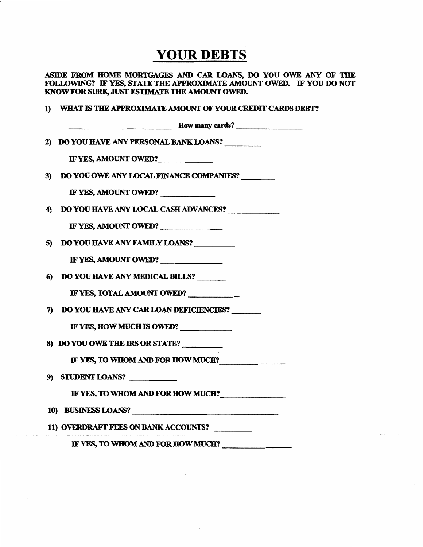## **YOUR DEBTS**

ASIDE FROM HOME MORTGAGES AND CAR LOANS, DO YOU OWE ANY OF THE FOLLOWING? IF YES, STATE THE APPROXIMATE AMOUNT OWED. IF YOU DO NOT KNOW FOR SURE, JUST ESTIMATE THE AMOUNT OWED.

|  |  |  |  |  |  |  | 1) WHAT IS THE APPROXIMATE AMOUNT OF YOUR CREDIT CARDS DEBT? |
|--|--|--|--|--|--|--|--------------------------------------------------------------|
|--|--|--|--|--|--|--|--------------------------------------------------------------|

|    | $\frac{1}{2}$ How many cards?                  |
|----|------------------------------------------------|
|    | 2) DO YOU HAVE ANY PERSONAL BANK LOANS?        |
|    | IF YES, AMOUNT OWED?                           |
| 3) | <b>DO YOU OWE ANY LOCAL FINANCE COMPANIES?</b> |
|    | IF YES, AMOUNT OWED?                           |
| 4) | DO YOU HAVE ANY LOCAL CASH ADVANCES?           |
|    | IF YES, AMOUNT OWED?                           |
| 5) | DO YOU HAVE ANY FAMILY LOANS?                  |
|    | IF YES, AMOUNT OWED?                           |
| 6) | <b>DO YOU HAVE ANY MEDICAL BILLS?</b>          |
|    | IF YES, TOTAL AMOUNT OWED?                     |
|    | 7) DO YOU HAVE ANY CAR LOAN DEFICIENCIES?      |
|    | IF YES, HOW MUCH IS OWED?                      |
|    | 8) DO YOU OWE THE IRS OR STATE?                |
|    | IF YES, TO WHOM AND FOR HOW MUCH?              |
|    | 9) STUDENT LOANS?                              |
|    | IF YES, TO WHOM AND FOR HOW MUCH?              |
|    | 10) BUSINESS LOANS?                            |
|    | 11) OVERDRAFT FEES ON BANK ACCOUNTS?           |
|    | IF YES, TO WHOM AND FOR HOW MUCH?              |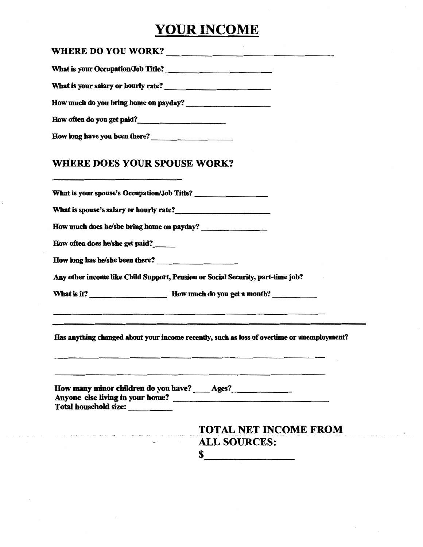## **YOUR** INCOME

|                                             | <b>I OUR HACOME</b>                                                                        |
|---------------------------------------------|--------------------------------------------------------------------------------------------|
|                                             |                                                                                            |
| What is your Occupation/Job Title?          |                                                                                            |
|                                             |                                                                                            |
|                                             |                                                                                            |
| How often do you get paid?<br><u> </u>      |                                                                                            |
| How long have you been there?               |                                                                                            |
| <b>WHERE DOES YOUR SPOUSE WORK?</b>         |                                                                                            |
| What is your spouse's Occupation/Job Title? |                                                                                            |
|                                             |                                                                                            |
| How much does he/she bring home on payday?  |                                                                                            |
| How often does he/she get paid?             |                                                                                            |
|                                             |                                                                                            |
|                                             | Any other income like Child Support, Pension or Social Security, part-time job?            |
|                                             |                                                                                            |
|                                             |                                                                                            |
|                                             | Has anything changed about your income recently, such as loss of overtime or unemployment? |
|                                             |                                                                                            |
| Total household size:                       |                                                                                            |

 $\bar{x}$ 

 $\alpha$  , and  $\alpha$  , and  $\alpha$ 

 $\sim$ 

 $\sim$   $\sim$ 

 $\mathcal{A}^{\text{max}}_{\text{max}}$